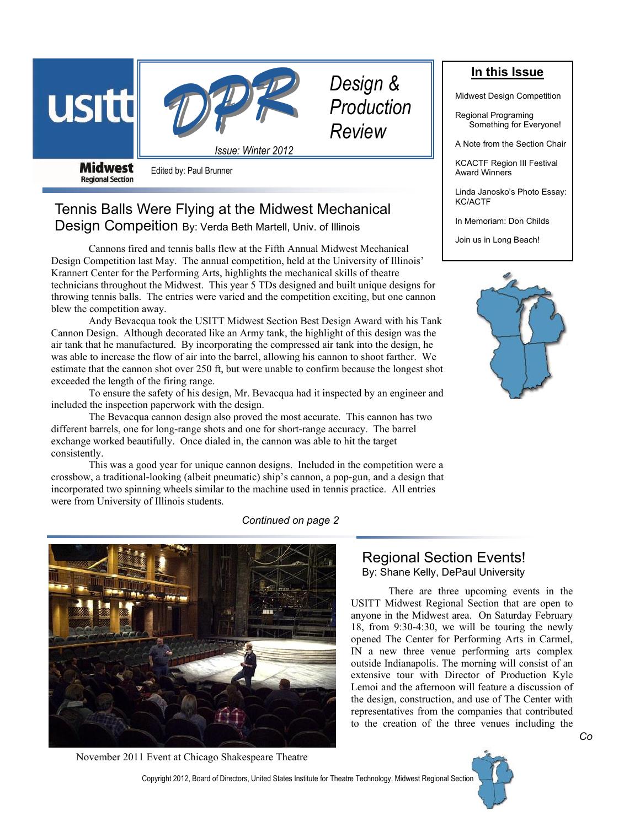



*Issue: Winter 2012*

*Design & Production Review*

**Midwest Regional Section** 

Edited by: Paul Brunner

# Tennis Balls Were Flying at the Midwest Mechanical Design Compeition By: Verda Beth Martell, Univ. of Illinois

Cannons fired and tennis balls flew at the Fifth Annual Midwest Mechanical Design Competition last May. The annual competition, held at the University of Illinois' Krannert Center for the Performing Arts, highlights the mechanical skills of theatre technicians throughout the Midwest. This year 5 TDs designed and built unique designs for throwing tennis balls. The entries were varied and the competition exciting, but one cannon blew the competition away.

Andy Bevacqua took the USITT Midwest Section Best Design Award with his Tank Cannon Design. Although decorated like an Army tank, the highlight of this design was the air tank that he manufactured. By incorporating the compressed air tank into the design, he was able to increase the flow of air into the barrel, allowing his cannon to shoot farther. We estimate that the cannon shot over 250 ft, but were unable to confirm because the longest shot exceeded the length of the firing range.

To ensure the safety of his design, Mr. Bevacqua had it inspected by an engineer and included the inspection paperwork with the design.

The Bevacqua cannon design also proved the most accurate. This cannon has two different barrels, one for long-range shots and one for short-range accuracy. The barrel exchange worked beautifully. Once dialed in, the cannon was able to hit the target consistently.

This was a good year for unique cannon designs. Included in the competition were a crossbow, a traditional-looking (albeit pneumatic) ship's cannon, a pop-gun, and a design that incorporated two spinning wheels similar to the machine used in tennis practice. All entries were from University of Illinois students.

### *Continued on page 2*



November 2011 Event at Chicago Shakespeare Theatre

**In this Issue**

Midwest Design Competition

Regional Programing Something for Everyone!

A Note from the Section Chair

KCACTF Region III Festival Award Winners

Linda Janosko's Photo Essay: KC/ACTF

In Memoriam: Don Childs

Join us in Long Beach!



Regional Section Events! By: Shane Kelly, DePaul University

There are three upcoming events in the USITT Midwest Regional Section that are open to anyone in the Midwest area. On Saturday February 18, from 9:30-4:30, we will be touring the newly opened The Center for Performing Arts in Carmel, IN a new three venue performing arts complex outside Indianapolis. The morning will consist of an extensive tour with Director of Production Kyle Lemoi and the afternoon will feature a discussion of the design, construction, and use of The Center with representatives from the companies that contributed to the creation of the three venues including the

Copyright 2012, Board of Directors, United States Institute for Theatre Technology, Midwest Regional Section

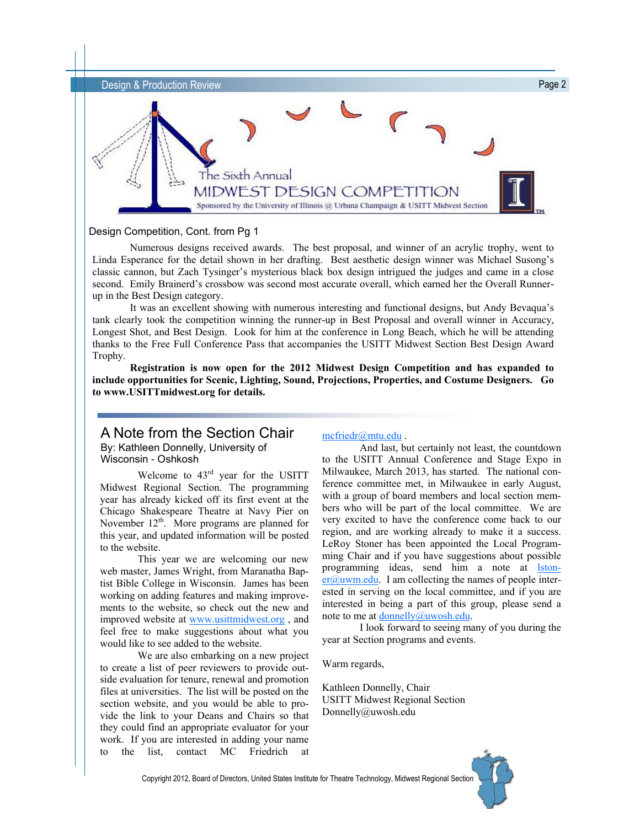

#### Design Competition, Cont. from Pg 1

Numerous designs received awards. The best proposal, and winner of an acrylic trophy, went to Linda Esperance for the detail shown in her drafting. Best aesthetic design winner was Michael Susong's classic cannon, but Zach Tysinger's mysterious black box design intrigued the judges and came in a close second. Emily Brainerd's crossbow was second most accurate overall, which earned her the Overall Runnerup in the Best Design category.

It was an excellent showing with numerous interesting and functional designs, but Andy Bevaqua's tank clearly took the competition winning the runner-up in Best Proposal and overall winner in Accuracy, Longest Shot, and Best Design. Look for him at the conference in Long Beach, which he will be attending thanks to the Free Full Conference Pass that accompanies the USITT Midwest Section Best Design Award Trophy.

**Registration is now open for the 2012 Midwest Design Competition and has expanded to include opportunities for Scenic, Lighting, Sound, Projections, Properties, and Costume Designers. Go to www.USITTmidwest.org for details.**

### A Note from the Section Chair By: Kathleen Donnelly, University of Wisconsin - Oshkosh

Welcome to 43rd year for the USITT Midwest Regional Section. The programming year has already kicked off its first event at the Chicago Shakespeare Theatre at Navy Pier on November  $12<sup>th</sup>$ . More programs are planned for this year, and updated information will be posted to the website.

This year we are welcoming our new web master, James Wright, from Maranatha Baptist Bible College in Wisconsin. James has been working on adding features and making improvements to the website, so check out the new and improved website at [www.usittmidwest.org](http://www.usittmidwest.org) , and feel free to make suggestions about what you would like to see added to the website.

We are also embarking on a new project to create a list of peer reviewers to provide outside evaluation for tenure, renewal and promotion files at universities. The list will be posted on the section website, and you would be able to provide the link to your Deans and Chairs so that they could find an appropriate evaluator for your work. If you are interested in adding your name to the list, contact MC Friedrich at

#### [mcfriedr@mtu.edu](mailto:mcfriedr@mtu.edu) .

And last, but certainly not least, the countdown to the USITT Annual Conference and Stage Expo in Milwaukee, March 2013, has started. The national conference committee met, in Milwaukee in early August, with a group of board members and local section members who will be part of the local committee. We are very excited to have the conference come back to our region, and are working already to make it a success. LeRoy Stoner has been appointed the Local Programming Chair and if you have suggestions about possible programming ideas, send him a note at [lston](mailto:lstoner@uwm.edu) $er@uum.edu$ . I am collecting the names of people interested in serving on the local committee, and if you are interested in being a part of this group, please send a note to me at [donnelly@uwosh.edu.](mailto:Donnelly@uwosh.edu)

I look forward to seeing many of you during the year at Section programs and events.

Warm regards,

Kathleen Donnelly, Chair USITT Midwest Regional Section Donnelly@uwosh.edu



Copyright 2012, Board of Directors, United States Institute for Theatre Technology, Midwest Regional Section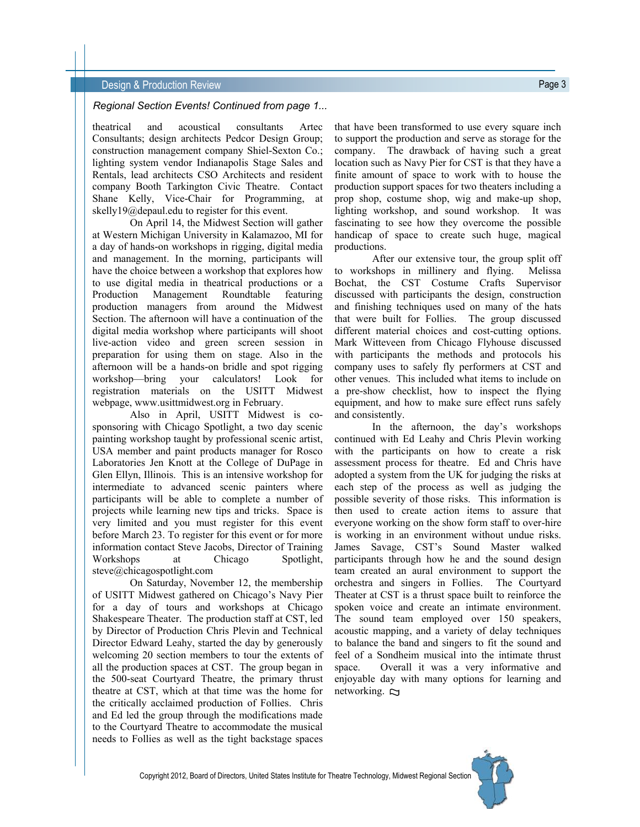#### **Design & Production Review Page 3 Design & Production Review**

#### *Regional Section Events! Continued from page 1...*

theatrical and acoustical consultants Artec Consultants; design architects Pedcor Design Group; construction management company Shiel-Sexton Co.; lighting system vendor Indianapolis Stage Sales and Rentals, lead architects CSO Architects and resident company Booth Tarkington Civic Theatre. Contact Shane Kelly, Vice-Chair for Programming, at skelly19@depaul.edu to register for this event.

On April 14, the Midwest Section will gather at Western Michigan University in Kalamazoo, MI for a day of hands-on workshops in rigging, digital media and management. In the morning, participants will have the choice between a workshop that explores how to use digital media in theatrical productions or a Production Management Roundtable featuring production managers from around the Midwest Section. The afternoon will have a continuation of the digital media workshop where participants will shoot live-action video and green screen session in preparation for using them on stage. Also in the afternoon will be a hands-on bridle and spot rigging workshop—bring your calculators! Look for registration materials on the USITT Midwest webpage, www.usittmidwest.org in February.

Also in April, USITT Midwest is cosponsoring with Chicago Spotlight, a two day scenic painting workshop taught by professional scenic artist, USA member and paint products manager for Rosco Laboratories Jen Knott at the College of DuPage in Glen Ellyn, Illinois. This is an intensive workshop for intermediate to advanced scenic painters where participants will be able to complete a number of projects while learning new tips and tricks. Space is very limited and you must register for this event before March 23. To register for this event or for more information contact Steve Jacobs, Director of Training Workshops at Chicago Spotlight, steve@chicagospotlight.com

On Saturday, November 12, the membership of USITT Midwest gathered on Chicago's Navy Pier for a day of tours and workshops at Chicago Shakespeare Theater. The production staff at CST, led by Director of Production Chris Plevin and Technical Director Edward Leahy, started the day by generously welcoming 20 section members to tour the extents of all the production spaces at CST. The group began in the 500-seat Courtyard Theatre, the primary thrust theatre at CST, which at that time was the home for the critically acclaimed production of Follies. Chris and Ed led the group through the modifications made to the Courtyard Theatre to accommodate the musical needs to Follies as well as the tight backstage spaces

that have been transformed to use every square inch to support the production and serve as storage for the company. The drawback of having such a great location such as Navy Pier for CST is that they have a finite amount of space to work with to house the production support spaces for two theaters including a prop shop, costume shop, wig and make-up shop, lighting workshop, and sound workshop. It was fascinating to see how they overcome the possible handicap of space to create such huge, magical productions.

After our extensive tour, the group split off to workshops in millinery and flying. Melissa Bochat, the CST Costume Crafts Supervisor discussed with participants the design, construction and finishing techniques used on many of the hats that were built for Follies. The group discussed different material choices and cost-cutting options. Mark Witteveen from Chicago Flyhouse discussed with participants the methods and protocols his company uses to safely fly performers at CST and other venues. This included what items to include on a pre-show checklist, how to inspect the flying equipment, and how to make sure effect runs safely and consistently.

In the afternoon, the day's workshops continued with Ed Leahy and Chris Plevin working with the participants on how to create a risk assessment process for theatre. Ed and Chris have adopted a system from the UK for judging the risks at each step of the process as well as judging the possible severity of those risks. This information is then used to create action items to assure that everyone working on the show form staff to over-hire is working in an environment without undue risks. James Savage, CST's Sound Master walked participants through how he and the sound design team created an aural environment to support the orchestra and singers in Follies. The Courtyard Theater at CST is a thrust space built to reinforce the spoken voice and create an intimate environment. The sound team employed over 150 speakers, acoustic mapping, and a variety of delay techniques to balance the band and singers to fit the sound and feel of a Sondheim musical into the intimate thrust space. Overall it was a very informative and enjoyable day with many options for learning and networking.  $\Box$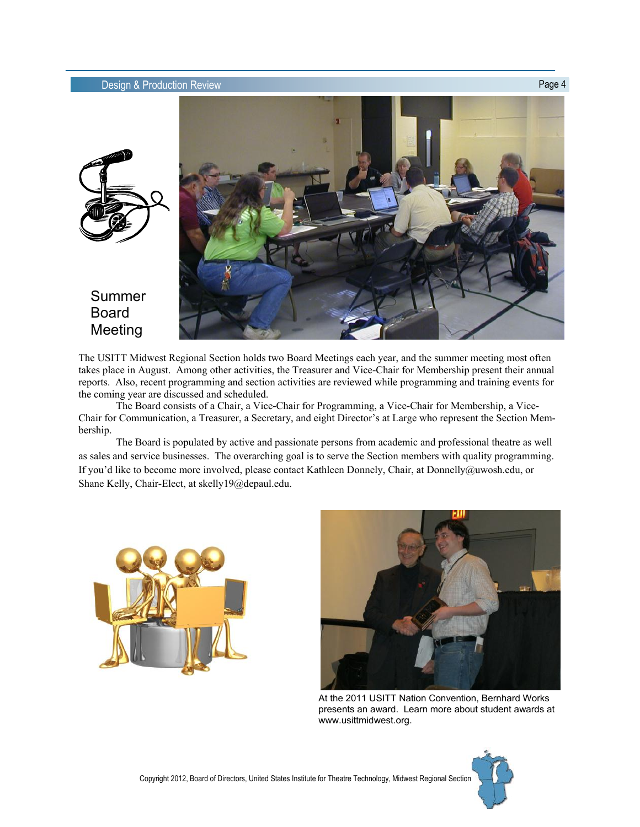

## Summer Board Meeting

The USITT Midwest Regional Section holds two Board Meetings each year, and the summer meeting most often takes place in August. Among other activities, the Treasurer and Vice-Chair for Membership present their annual reports. Also, recent programming and section activities are reviewed while programming and training events for the coming year are discussed and scheduled.

The Board consists of a Chair, a Vice-Chair for Programming, a Vice-Chair for Membership, a Vice-Chair for Communication, a Treasurer, a Secretary, and eight Director's at Large who represent the Section Membership.

The Board is populated by active and passionate persons from academic and professional theatre as well as sales and service businesses. The overarching goal is to serve the Section members with quality programming. If you'd like to become more involved, please contact Kathleen Donnely, Chair, at Donnelly@uwosh.edu, or Shane Kelly, Chair-Elect, at skelly19@depaul.edu.





At the 2011 USITT Nation Convention, Bernhard Works presents an award. Learn more about student awards at www.usittmidwest.org.

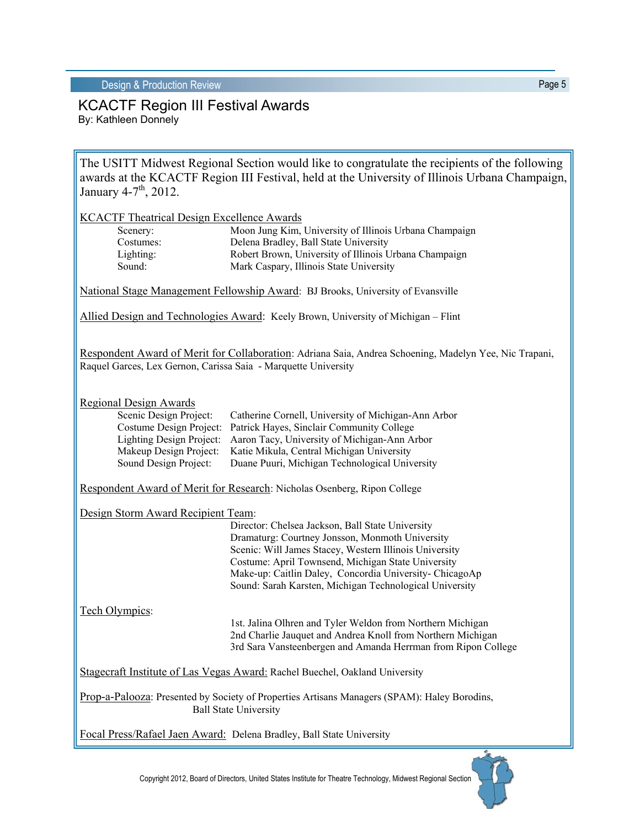### KCACTF Region III Festival Awards By: Kathleen Donnely

The USITT Midwest Regional Section would like to congratulate the recipients of the following awards at the KCACTF Region III Festival, held at the University of Illinois Urbana Champaign, January  $4-7$ <sup>th</sup>, 2012.

| <b>KCACTF Theatrical Design Excellence Awards</b><br>Scenery:<br>Costumes:<br>Lighting:<br>Sound:                                                                        | Moon Jung Kim, University of Illinois Urbana Champaign<br>Delena Bradley, Ball State University<br>Robert Brown, University of Illinois Urbana Champaign<br>Mark Caspary, Illinois State University                                                                                                                                       |
|--------------------------------------------------------------------------------------------------------------------------------------------------------------------------|-------------------------------------------------------------------------------------------------------------------------------------------------------------------------------------------------------------------------------------------------------------------------------------------------------------------------------------------|
|                                                                                                                                                                          | National Stage Management Fellowship Award: BJ Brooks, University of Evansville                                                                                                                                                                                                                                                           |
| Allied Design and Technologies Award: Keely Brown, University of Michigan – Flint                                                                                        |                                                                                                                                                                                                                                                                                                                                           |
| Respondent Award of Merit for Collaboration: Adriana Saia, Andrea Schoening, Madelyn Yee, Nic Trapani,<br>Raquel Garces, Lex Gernon, Carissa Saia - Marquette University |                                                                                                                                                                                                                                                                                                                                           |
| <b>Regional Design Awards</b><br>Scenic Design Project:<br>Costume Design Project:<br>Lighting Design Project:<br>Makeup Design Project:<br>Sound Design Project:        | Catherine Cornell, University of Michigan-Ann Arbor<br>Patrick Hayes, Sinclair Community College<br>Aaron Tacy, University of Michigan-Ann Arbor<br>Katie Mikula, Central Michigan University<br>Duane Puuri, Michigan Technological University                                                                                           |
| Respondent Award of Merit for Research: Nicholas Osenberg, Ripon College                                                                                                 |                                                                                                                                                                                                                                                                                                                                           |
| Design Storm Award Recipient Team:                                                                                                                                       | Director: Chelsea Jackson, Ball State University<br>Dramaturg: Courtney Jonsson, Monmoth University<br>Scenic: Will James Stacey, Western Illinois University<br>Costume: April Townsend, Michigan State University<br>Make-up: Caitlin Daley, Concordia University- ChicagoAp<br>Sound: Sarah Karsten, Michigan Technological University |
| Tech Olympics:                                                                                                                                                           | 1st. Jalina Olhren and Tyler Weldon from Northern Michigan<br>2nd Charlie Jauquet and Andrea Knoll from Northern Michigan<br>3rd Sara Vansteenbergen and Amanda Herrman from Ripon College                                                                                                                                                |
| Stagecraft Institute of Las Vegas Award: Rachel Buechel, Oakland University                                                                                              |                                                                                                                                                                                                                                                                                                                                           |
| Prop-a-Palooza: Presented by Society of Properties Artisans Managers (SPAM): Haley Borodins,<br><b>Ball State University</b>                                             |                                                                                                                                                                                                                                                                                                                                           |
| Focal Press/Rafael Jaen Award: Delena Bradley, Ball State University                                                                                                     |                                                                                                                                                                                                                                                                                                                                           |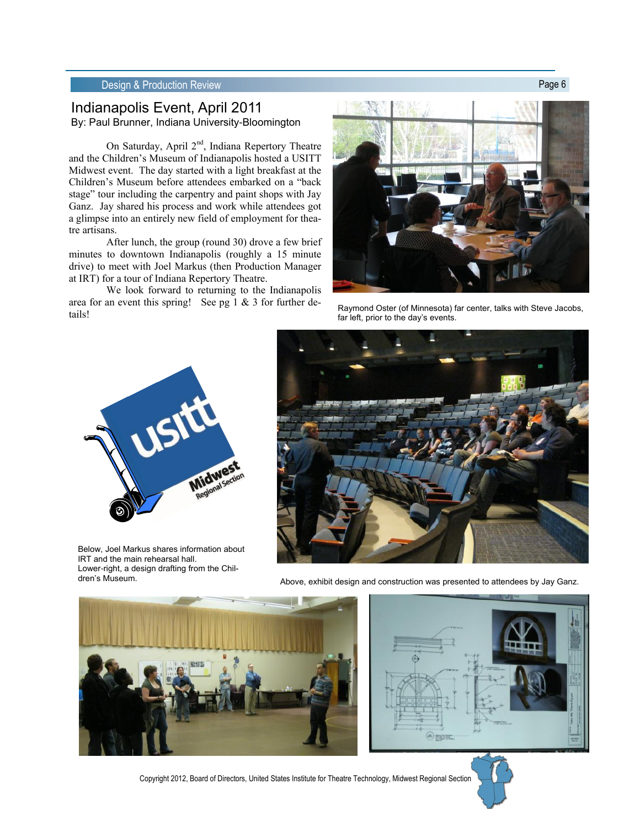### Indianapolis Event, April 2011 By: Paul Brunner, Indiana University-Bloomington

On Saturday, April  $2<sup>nd</sup>$ , Indiana Repertory Theatre and the Children's Museum of Indianapolis hosted a USITT Midwest event. The day started with a light breakfast at the Children's Museum before attendees embarked on a "back stage" tour including the carpentry and paint shops with Jay Ganz. Jay shared his process and work while attendees got a glimpse into an entirely new field of employment for theatre artisans.

After lunch, the group (round 30) drove a few brief minutes to downtown Indianapolis (roughly a 15 minute drive) to meet with Joel Markus (then Production Manager at IRT) for a tour of Indiana Repertory Theatre.

We look forward to returning to the Indianapolis area for an event this spring! See pg 1 & 3 for further deare to an event this spring:  $\sec py$  is  $\cot 3$  for further accepted association of Minnesota) far center, talks with Steve Jacobs,  $\frac{1}{2}$  for loft prior to the davis events.



far left, prior to the day's events.



Below, Joel Markus shares information about IRT and the main rehearsal hall. Lower-right, a design drafting from the Children's Museum.



Above, exhibit design and construction was presented to attendees by Jay Ganz.





Copyright 2012, Board of Directors, United States Institute for Theatre Technology, Midwest Regional Section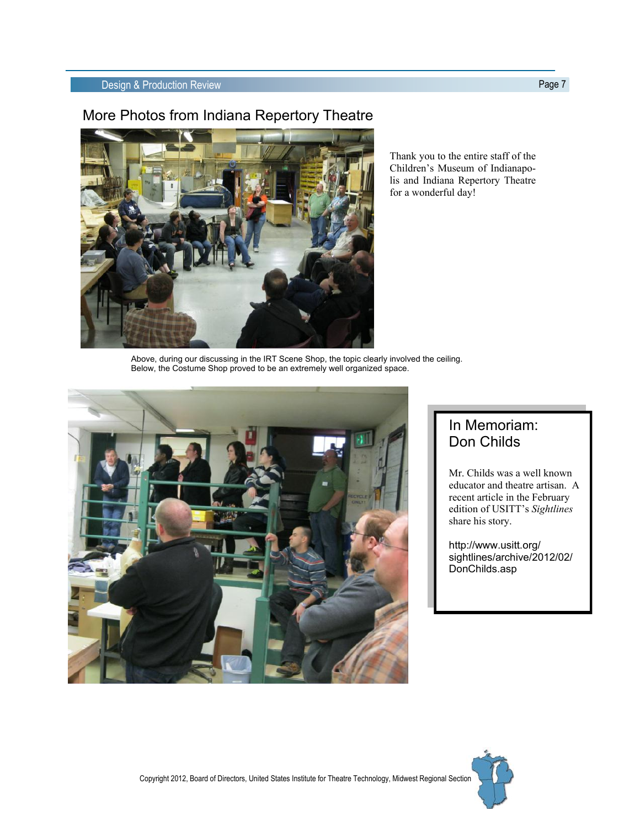## More Photos from Indiana Repertory Theatre



Thank you to the entire staff of the Children's Museum of Indianapolis and Indiana Repertory Theatre for a wonderful day!

Above, during our discussing in the IRT Scene Shop, the topic clearly involved the ceiling. Below, the Costume Shop proved to be an extremely well organized space.



# In Memoriam: Don Childs

Mr. Childs was a well known educator and theatre artisan. A recent article in the February edition of USITT's *Sightlines*  share his story.

http://www.usitt.org/ sightlines/archive/2012/02/ DonChilds.asp